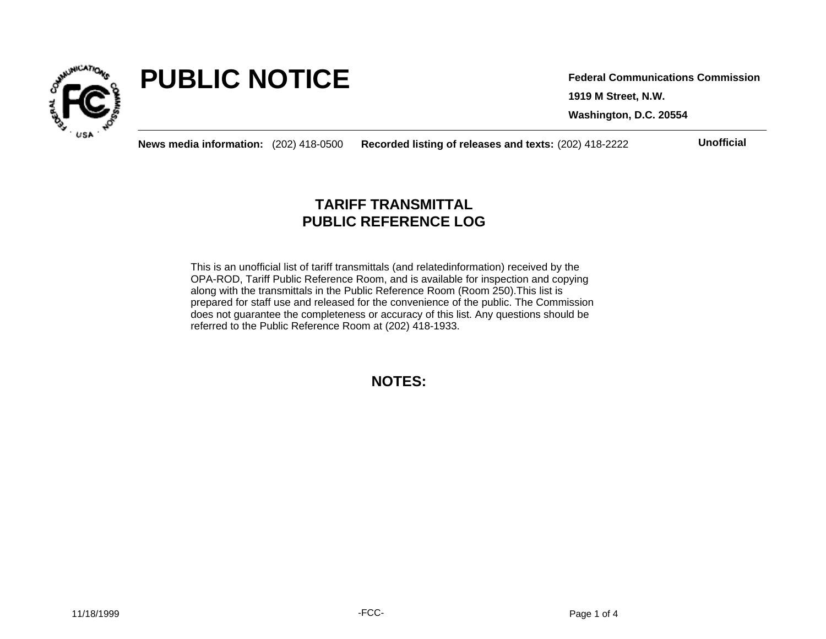

# **PUBLIC NOTICE**

**1919 M Street, N.W. Washington, D.C. 20554 Federal Communications Commission**

**News media information:** (202) 418-0500 **Recorded listing of releases and texts:** (202) 418-2222 **Unofficial**

## **TARIFF TRANSMITTAL PUBLIC REFERENCE LOG**

This is an unofficial list of tariff transmittals (and relatedinformation) received by the OPA-ROD, Tariff Public Reference Room, and is available for inspection and copying along with the transmittals in the Public Reference Room (Room 250).This list is prepared for staff use and released for the convenience of the public. The Commission does not guarantee the completeness or accuracy of this list. Any questions should be referred to the Public Reference Room at (202) 418-1933.

**NOTES:**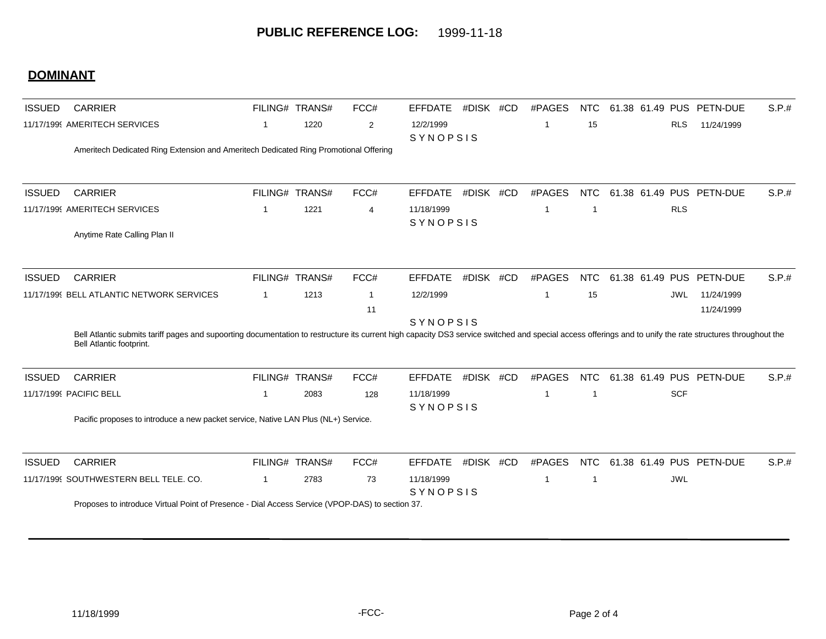## **DOMINANT**

| <b>ISSUED</b>                 | <b>CARRIER</b>                                                                                                                                                                                                                         |             | FILING# TRANS# | FCC#           | <b>EFFDATE</b>         | #DISK #CD | #PAGES | NTC                     |            | 61.38 61.49 PUS PETN-DUE | S.P.# |
|-------------------------------|----------------------------------------------------------------------------------------------------------------------------------------------------------------------------------------------------------------------------------------|-------------|----------------|----------------|------------------------|-----------|--------|-------------------------|------------|--------------------------|-------|
| 11/17/1999 AMERITECH SERVICES |                                                                                                                                                                                                                                        | -1          | 1220           | 2              | 12/2/1999<br>SYNOPSIS  |           | -1     | 15                      | <b>RLS</b> | 11/24/1999               |       |
|                               | Ameritech Dedicated Ring Extension and Ameritech Dedicated Ring Promotional Offering                                                                                                                                                   |             |                |                |                        |           |        |                         |            |                          |       |
| <b>ISSUED</b>                 | <b>CARRIER</b>                                                                                                                                                                                                                         |             | FILING# TRANS# | FCC#           | <b>EFFDATE</b>         | #DISK #CD | #PAGES | NTC                     |            | 61.38 61.49 PUS PETN-DUE | S.P.# |
|                               | 11/17/1999 AMERITECH SERVICES                                                                                                                                                                                                          | 1           | 1221           | $\overline{4}$ | 11/18/1999             |           | -1     | $\overline{\mathbf{1}}$ | <b>RLS</b> |                          |       |
|                               | Anytime Rate Calling Plan II                                                                                                                                                                                                           |             |                |                | SYNOPSIS               |           |        |                         |            |                          |       |
| <b>ISSUED</b>                 | <b>CARRIER</b>                                                                                                                                                                                                                         |             | FILING# TRANS# | FCC#           | <b>EFFDATE</b>         | #DISK #CD | #PAGES | <b>NTC</b>              |            | 61.38 61.49 PUS PETN-DUE | S.P.# |
|                               | 11/17/1999 BELL ATLANTIC NETWORK SERVICES                                                                                                                                                                                              | $\mathbf 1$ | 1213           | $\overline{1}$ | 12/2/1999              |           | -1     | 15                      |            | 11/24/1999<br>JWL.       |       |
|                               |                                                                                                                                                                                                                                        |             |                | 11             | SYNOPSIS               |           |        |                         |            | 11/24/1999               |       |
|                               | Bell Atlantic submits tariff pages and supoorting documentation to restructure its current high capacity DS3 service switched and special access offerings and to unify the rate structures throughout the<br>Bell Atlantic footprint. |             |                |                |                        |           |        |                         |            |                          |       |
| <b>ISSUED</b>                 | <b>CARRIER</b>                                                                                                                                                                                                                         |             | FILING# TRANS# | FCC#           | <b>EFFDATE</b>         | #DISK #CD | #PAGES | <b>NTC</b>              |            | 61.38 61.49 PUS PETN-DUE | S.P.# |
|                               | 11/17/1999 PACIFIC BELL                                                                                                                                                                                                                | -1          | 2083           | 128            | 11/18/1999<br>SYNOPSIS |           | -1     | -1                      | <b>SCF</b> |                          |       |
|                               | Pacific proposes to introduce a new packet service, Native LAN Plus (NL+) Service.                                                                                                                                                     |             |                |                |                        |           |        |                         |            |                          |       |
| <b>ISSUED</b>                 | <b>CARRIER</b>                                                                                                                                                                                                                         |             | FILING# TRANS# | FCC#           | <b>EFFDATE</b>         | #DISK #CD | #PAGES | NTC                     |            | 61.38 61.49 PUS PETN-DUE | S.P.# |
|                               | 11/17/1999 SOUTHWESTERN BELL TELE. CO.                                                                                                                                                                                                 | $\mathbf 1$ | 2783           | 73             | 11/18/1999<br>SYNOPSIS |           | -1     | -1                      | <b>JWL</b> |                          |       |
|                               | Proposes to introduce Virtual Point of Presence - Dial Access Service (VPOP-DAS) to section 37.                                                                                                                                        |             |                |                |                        |           |        |                         |            |                          |       |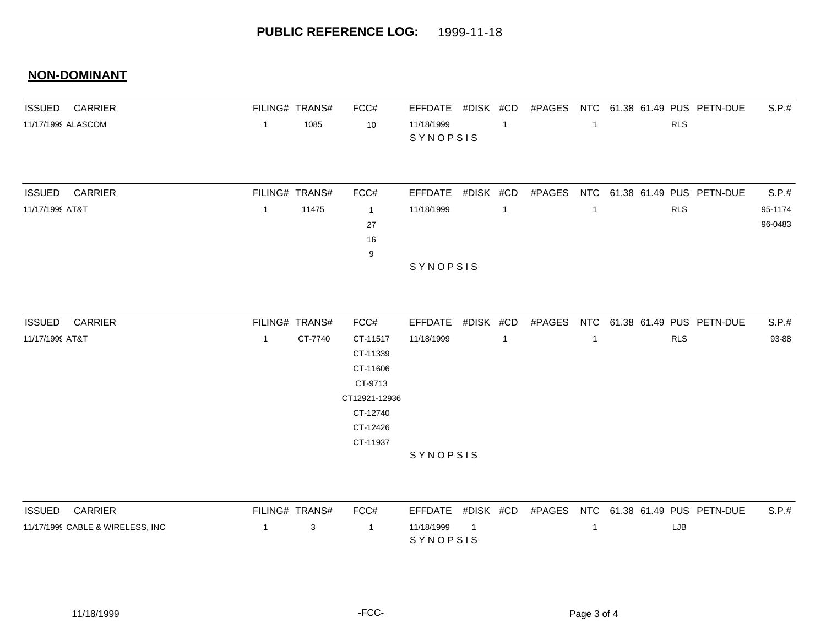### **NON-DOMINANT**

| <b>ISSUED CARRIER</b>                            | FILING# TRANS# |         | FCC#           | EFFDATE #DISK #CD      |           |                |        |                |            | #PAGES NTC 61.38 61.49 PUS PETN-DUE | S.P.#   |
|--------------------------------------------------|----------------|---------|----------------|------------------------|-----------|----------------|--------|----------------|------------|-------------------------------------|---------|
| $\overline{1}$<br>11/17/1999 ALASCOM             |                | 1085    | 10             | 11/18/1999<br>SYNOPSIS |           | $\overline{1}$ |        | $\overline{1}$ | <b>RLS</b> |                                     |         |
|                                                  |                |         |                |                        |           |                |        |                |            |                                     |         |
| <b>CARRIER</b><br><b>ISSUED</b>                  | FILING# TRANS# |         | FCC#           | <b>EFFDATE</b>         | #DISK #CD |                | #PAGES |                |            | NTC 61.38 61.49 PUS PETN-DUE        | S.P.#   |
| 11/17/1999 AT&T<br>$\overline{1}$                |                | 11475   | $\overline{1}$ | 11/18/1999             |           | $\overline{1}$ |        | -1             | <b>RLS</b> |                                     | 95-1174 |
|                                                  |                |         | 27             |                        |           |                |        |                |            |                                     | 96-0483 |
|                                                  |                |         | 16<br>9        |                        |           |                |        |                |            |                                     |         |
|                                                  |                |         |                | SYNOPSIS               |           |                |        |                |            |                                     |         |
|                                                  |                |         |                |                        |           |                |        |                |            |                                     |         |
| <b>ISSUED</b><br><b>CARRIER</b>                  | FILING# TRANS# |         | FCC#           | EFFDATE #DISK #CD      |           |                |        |                |            | #PAGES NTC 61.38 61.49 PUS PETN-DUE | S.P.#   |
| 11/17/1999 AT&T<br>$\overline{1}$                |                | CT-7740 | CT-11517       | 11/18/1999             |           | $\overline{1}$ |        | $\mathbf{1}$   | <b>RLS</b> |                                     | 93-88   |
|                                                  |                |         | CT-11339       |                        |           |                |        |                |            |                                     |         |
|                                                  |                |         | CT-11606       |                        |           |                |        |                |            |                                     |         |
|                                                  |                |         | CT-9713        |                        |           |                |        |                |            |                                     |         |
|                                                  |                |         | CT12921-12936  |                        |           |                |        |                |            |                                     |         |
|                                                  |                |         | CT-12740       |                        |           |                |        |                |            |                                     |         |
|                                                  |                |         | CT-12426       |                        |           |                |        |                |            |                                     |         |
|                                                  |                |         | CT-11937       |                        |           |                |        |                |            |                                     |         |
|                                                  |                |         |                | SYNOPSIS               |           |                |        |                |            |                                     |         |
| <b>CARRIER</b><br><b>ISSUED</b>                  | FILING# TRANS# |         | FCC#           | <b>EFFDATE</b>         | #DISK #CD |                |        |                |            | #PAGES NTC 61.38 61.49 PUS PETN-DUE | S.P.#   |
| 11/17/1999 CABLE & WIRELESS, INC<br>$\mathbf{1}$ |                | 3       | -1             | 11/18/1999             | 1         |                |        | $\mathbf{1}$   | LJB        |                                     |         |

S Y N O P S I S